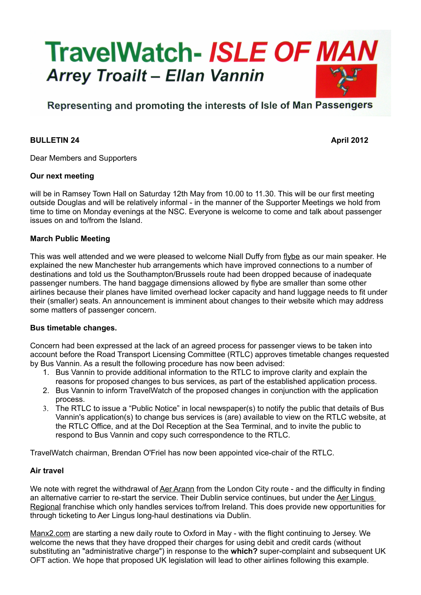

# Representing and promoting the interests of Isle of Man Passengers

### **BULLETIN 24 April 2012**

Dear Members and Supporters

#### **Our next meeting**

will be in Ramsey Town Hall on Saturday 12th May from 10.00 to 11.30. This will be our first meeting outside Douglas and will be relatively informal - in the manner of the Supporter Meetings we hold from time to time on Monday evenings at the NSC. Everyone is welcome to come and talk about passenger issues on and to/from the Island.

#### **March Public Meeting**

This was well attended and we were pleased to welcome Niall Duffy from flybe as our main speaker. He explained the new Manchester hub arrangements which have improved connections to a number of destinations and told us the Southampton/Brussels route had been dropped because of inadequate passenger numbers. The hand baggage dimensions allowed by flybe are smaller than some other airlines because their planes have limited overhead locker capacity and hand luggage needs to fit under their (smaller) seats. An announcement is imminent about changes to their website which may address some matters of passenger concern.

#### **Bus timetable changes.**

Concern had been expressed at the lack of an agreed process for passenger views to be taken into account before the Road Transport Licensing Committee (RTLC) approves timetable changes requested by Bus Vannin. As a result the following procedure has now been advised:

- 1. Bus Vannin to provide additional information to the RTLC to improve clarity and explain the reasons for proposed changes to bus services, as part of the established application process.
- 2. Bus Vannin to inform TravelWatch of the proposed changes in conjunction with the application process.
- 3. The RTLC to issue a "Public Notice" in local newspaper(s) to notify the public that details of Bus Vannin's application(s) to change bus services is (are) available to view on the RTLC website, at the RTLC Office, and at the DoI Reception at the Sea Terminal, and to invite the public to respond to Bus Vannin and copy such correspondence to the RTLC.

TravelWatch chairman, Brendan O'Friel has now been appointed vice-chair of the RTLC.

## **Air travel**

We note with regret the withdrawal of Aer Arann from the London City route - and the difficulty in finding an alternative carrier to re-start the service. Their Dublin service continues, but under the Aer Lingus Regional franchise which only handles services to/from Ireland. This does provide new opportunities for through ticketing to Aer Lingus long-haul destinations via Dublin.

Manx2.com are starting a new daily route to Oxford in May - with the flight continuing to Jersey. We welcome the news that they have dropped their charges for using debit and credit cards (without substituting an "administrative charge") in response to the **which?** super-complaint and subsequent UK OFT action. We hope that proposed UK legislation will lead to other airlines following this example.